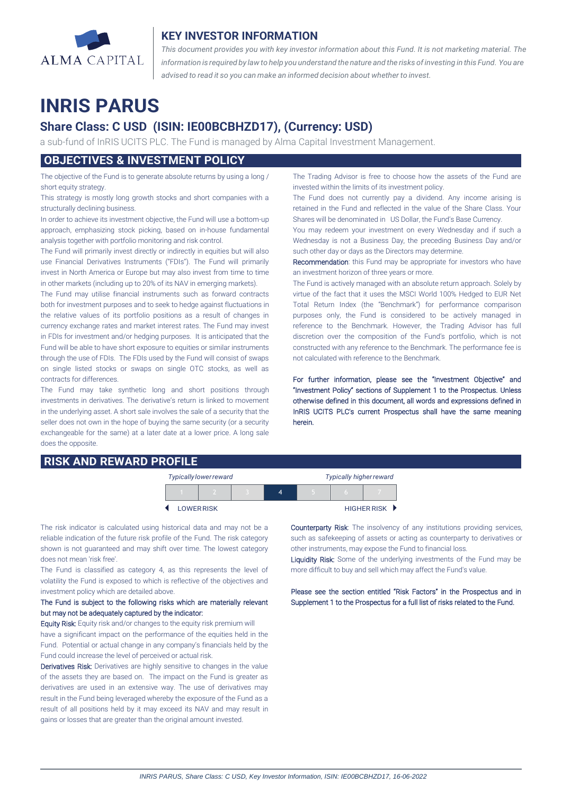

## **KEY INVESTOR INFORMATION**

*This document provides you with key investor information about this Fund. It is not marketing material. The* information is required by law to help you understand the nature and the risks of investing in this Fund. You are *advised to read it so you can make an informed decision about whether to invest.*

# **INRIS PARUS**

# **Share Class: C USD (ISIN: IE00BCBHZD17), (Currency: USD)**

a sub-fund of InRIS UCITS PLC. The Fund is managed by Alma Capital Investment Management.

## **OBJECTIVES & INVESTMENT POLICY**

The objective of the Fund is to generate absolute returns by using a long / short equity strategy.

This strategy is mostly long growth stocks and short companies with a structurally declining business.

In order to achieve its investment objective, the Fund will use a bottom-up approach, emphasizing stock picking, based on in-house fundamental analysis together with portfolio monitoring and risk control.

The Fund will primarily invest directly or indirectly in equities but will also use Financial Derivatives Instruments ("FDIs"). The Fund will primarily invest in North America or Europe but may also invest from time to time in other markets (including up to 20% of its NAV in emerging markets).

The Fund may utilise financial instruments such as forward contracts both for investment purposes and to seek to hedge against fluctuations in the relative values of its portfolio positions as a result of changes in currency exchange rates and market interest rates. The Fund may invest in FDIs for investment and/or hedging purposes. It is anticipated that the Fund will be able to have short exposure to equities or similar instruments through the use of FDIs. The FDIs used by the Fund will consist of swaps on single listed stocks or swaps on single OTC stocks, as well as contracts for differences.

The Fund may take synthetic long and short positions through investments in derivatives. The derivative's return is linked to movement in the underlying asset. A short sale involves the sale of a security that the seller does not own in the hope of buying the same security (or a security exchangeable for the same) at a later date at a lower price. A long sale does the opposite.

### **RISK AND REWARD PROFILE**

The Trading Advisor is free to choose how the assets of the Fund are invested within the limits of its investment policy.

The Fund does not currently pay a dividend. Any income arising is retained in the Fund and reflected in the value of the Share Class. Your Shares will be denominated in US Dollar, the Fund's Base Currency.

You may redeem your investment on every Wednesday and if such a Wednesday is not a Business Day, the preceding Business Day and/or such other day or days as the Directors may determine.

Recommendation: this Fund may be appropriate for investors who have an investment horizon of three years or more.

The Fund is actively managed with an absolute return approach. Solely by virtue of the fact that it uses the MSCI World 100% Hedged to EUR Net Total Return Index (the "Benchmark") for performance comparison purposes only, the Fund is considered to be actively managed in reference to the Benchmark. However, the Trading Advisor has full discretion over the composition of the Fund's portfolio, which is not constructed with any reference to the Benchmark. The performance fee is not calculated with reference to the Benchmark.

For further information, please see the "Investment Objective" and "Investment Policy" sections of Supplement 1 to the Prospectus. Unless otherwise defined in this document, all words and expressions defined in InRIS UCITS PLC's current Prospectus shall have the same meaning herein.

| <b>Typically lower reward</b> |  | <b>Typically higher reward</b> |  |  |               |
|-------------------------------|--|--------------------------------|--|--|---------------|
|                               |  |                                |  |  |               |
| <b>LOWER RISK</b>             |  |                                |  |  | HIGHER RISK D |

The risk indicator is calculated using historical data and may not be a reliable indication of the future risk profile of the Fund. The risk category shown is not guaranteed and may shift over time. The lowest category does not mean 'risk free'.

The Fund is classified as category 4, as this represents the level of volatility the Fund is exposed to which is reflective of the objectives and investment policy which are detailed above.

#### The Fund is subject to the following risks which are materially relevant but may not be adequately captured by the indicator:

Equity Risk: Equity risk and/or changes to the equity risk premium will have a significant impact on the performance of the equities held in the Fund. Potential or actual change in any company's financials held by the Fund could increase the level of perceived or actual risk.

Derivatives Risk: Derivatives are highly sensitive to changes in the value of the assets they are based on. The impact on the Fund is greater as derivatives are used in an extensive way. The use of derivatives may result in the Fund being leveraged whereby the exposure of the Fund as a result of all positions held by it may exceed its NAV and may result in gains or losses that are greater than the original amount invested.

Counterparty Risk: The insolvency of any institutions providing services, such as safekeeping of assets or acting as counterparty to derivatives or other instruments, may expose the Fund to financial loss.

Liquidity Risk: Some of the underlying investments of the Fund may be more difficult to buy and sell which may affect the Fund's value.

Please see the section entitled "Risk Factors" in the Prospectus and in Supplement 1 to the Prospectus for a full list of risks related to the Fund.